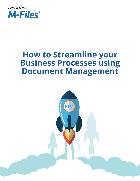

# **How to Streamline your Business Processes using Document Management**

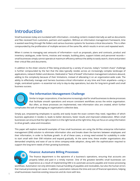# **Introduction**

Small businesses today are inundated with information—including content created internally as well as documents and files received from customers, partners and suppliers. Without an information management framework, time is wasted searching through file folders and various business systems for business-critical documents. This is often compounded by the proliferation of multiple versions of the same file, which results in errors and repeated work.

When it comes to managing vast amounts of information—such as proposals, plans and contracts, product and inventory catalogues, order forms, invoices and receipts, building plans, support tickets and personnel records small businesses simply cannot operate at maximum efficiency without the ability to easily search, share and protect their critical files and documents.

In addition to the sheer volume of files being produced by a variety of sources, today's "content chaos" challenge is further compounded by the fact that the data typically resides across an increasingly complex landscape of applications, network folders and devices. Dedicated or "best of breed" information management solutions abound, adding to the complexity because of their limitations, instead of alleviating it on an organization-wide scale. The ability to effectively manage and harness business-critical information at any time and from anywhere—using a single, centralized system—is essential not only to day-to-day operations, but also for long-term growth and small business success.



#### **The Information Management Challenge**

Similar to larger corporations, it has become increasingly vital for small businesses to devise processes that facilitate smooth operations and ensure consistent workflows across the entire organisation. But often, as these processes are implemented, new information silos are created, which further complicates the task of managing an organisation's collective data.

Simply put, empowering employees to quickly and easily locate the exact content they need, regardless of which business application it resides in, leads to better decisions, faster results and improved collaboration. When small businesses can ensure that the right content is in the right hands at the right time, they can focus on using information to drive growth, value and innovation.

This paper will explore real-world examples of how small businesses are using the M-Files enterprise information management (EIM) solution to eliminate information silos and breaks down the barriers between employees and their information, in order to facilitate growth. In all of these cases, a strong need existed for scalability in order to start small with their EIM initiative and expand gradually. At the same time, these smaller organizations also demanded simplicity and ease of use to drive company-wide adoption, along with the sophistication required to support the long-term needs of their growing businesses.



#### **Finance: Automate Billing Processes**

The finance department is the epicentre of a business's operations, ensuring that accounts are properly billed and paid in a timely manner. One of the greatest benefits small businesses can experience as a result of implementing EIM is to automate accounts payable and invoice processing

workflows. Automation not only eliminates manual handling of payables and receivables, but also the human errors that manual processing can cause. In addition, automation reduces the time and cost of financial operations, helping small businesses maximize existing resources and do more with less.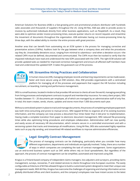American Solutions for Business (ASB) is a fast-growing print and promotional products distributor with hundreds sales associates and thousands of suppliers throughout the US. Using M-Files, ASB was able to provide access to invoices by authorized individuals directly from other business applications, such as PeopleSoft. As a result, they were able to optimize vendor invoice processing times, execute quicker returns on record requests and streamline the movement of documents throughout the organization. ASB estimates having cut invoice-processing times by three days, with the added ability to monitor the entire process with great precision.

Another area that can benefit from automating via an ECM system is the process for managing corrective and preventative actions (CAPAs). Auditors look for the gap between what a company does and what the procedures say they do. Unavoidably deviations occur, ranging from minimal to calamitous—and when a deviation occurs—the related CAPA must be defined, documented and communicated. The CAPA must then be tracked to verify that the impacted individuals have read and understood the new SOPs associated with the CAPA. The right ECM solution will provide updated tasks as needed for improved corrective management and ensure all affected staff members have read and understood the updated SOP. It takes the guesswork out of the process.



## **HR: Streamline Hiring Practices and Collaboration**

In human resources (HR), managing employee records and learning requirements can be made easier, faster and more secure using an EIM solution. Also, EIM provides organisations with a centralized platform for managing all of the processes and paperwork that support the HR function including

recruitment, on boarding, training and performance management.

SRSI is a small business, located in Andorra that provides HR services to clients all over the world, managing everything from hiring processes and employment contracts to payroll and membership insurance. For every client project, SRSI handles between 15 – 20 documents per employee, all of which are managed by an administrative staff of only five. In total, this team creates, sends, shares, updates and stores more than 7,000 documents each year.

Without a centralized system in place to track and manage documents, the process of completing employee paperwork was both time-consuming and prone to manual errors. SRSI tapped M-Files to organize all of its existing business information, and the company can now process a document four times faster than it did prior to implementation. Having made a complete transition from paper to electronic document management, SRSI reduced file-processing times while also optimizing hiring procedures and employee collaboration. Administrative staff can now quickly and easily access all necessary HR documentation, which remains secure in a controlled environment and with a versioning system that tracks and timestamps all modifications. Using M-Files, SRSI also automated highly repetitive tasks such as pay slip sending, and streamlined HR-related workflows to improve administrative efficiencies.

## **Legal: Simplify Contract Management**

The process of managing contracts can be challenging, particularly when you consider how many different organizations, departments and individuals are typically involved. Today, there are a number of ways in which companies are completing the task of contract management. Some organizations

use an end-to-end business system such as SAP, while others rely on Excel spreadsheets. But regardless of the approach, the process of contract management can be simplified, automated and improved using EIM.

Krogius is a Finland-based company of independent claims managers, loss adjusters and surveyors, providing claims management, surveys, recoveries, IT and related services to clients throughout nine European countries. The easily configurable architecture of M-Files allowed Krogius to build a customized system designed to meet their unique case management needs. With M-Files, Krogius has overcome the challenges of organizing and sharing information across globally distributed offices and client locations, and the company's employees now have instant access to the latest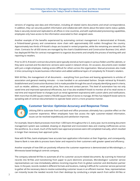versions of ongoing case data and information, including all related claims documents and email correspondence. In addition, they can securely publish information and collaborate with clients about the latest claims status update. Data is securely stored and replicated to all offices in nine countries, and with sophisticated previsioning capabilities, employees only have access to the information associated to their assigned cases.

Another example of the benefits experienced by automating contract management is demonstrated at R-kioski, a Finland-based grocery and convenience store chain with approximately 650 outlets throughout the country. Approximately two thirds of R-kioski's shops are located in rented properties, while the remaining are owned by the chain. Contracts for all 650 stores are managed by the chain's Establishment and Construction Business Unit, which has deployed M-Files for contract management to organize documents and simplify the process of working with and reporting to retailers.

Prior to 2013, R-kioski's contract documents were typically stored as hard copies in various folders and file cabinets, or they were scanned and the electronic versions were saved in network drives. On occasion, documents even resided with just a single employee, making access difficult for others across the organisation. Manual processes also made it time consuming to locate business information and added additional layers of complexity for R-kioski's retailers.

With M-Files, the management of all documents – everything from purchase and leasing agreements to articles of association and general meeting minutes – is now handled in an automated fashion. Simple retrieval by R-kioski's Establishment and Construction Business Unit is made possible through the use of uniquely identifying search criteria, such as retailer, address, rental period, price, floor area and contact person. This level of automation has not only saved time and improved operational efficiencies, but it has also enabled R-kioski to monitor all of its retail stores in real time and respond faster to changes (such as rental agreement expirations) with custom alerts and notifications. With more than 65,000 square meters (700,000 square feet) of stores to manage, M-Files has helped R-kioski tame its sprawling web of contract documentation to operate faster and in a more proactive manner.



#### **Customer Service: Optimize Accuracy and Response Times**

Utilizing EIM to automate front and back-end office processes ultimately has a positive effect on the customer experience. When employees have fast access the right customer-related information, issues can be resolved expeditiously and satisfaction improves.

For example, Stearns Bank processes more than 1,000 loans throughout the U.S. every year, but its existing document management system was outdated, drawing on disjointed and inconsistent data and creating inefficiencies across the workforce. As a result, much of the bank's loan approval processes were still completed manually, which resulted in longer than necessary loan approval cycles.

Now with M-Files, bank employees have accurate loan application information at their fingertips, and consequently, Stearns Bank is now able to process loans faster and respond to their customers with greater speed and efficiency.

Another example of how EIM can positively influence the customer experience is demonstrated at Microbiologics, a Minnesota-based biological controls company.

The company selected M-Files to automate all of its customer account-related documents. By scanning its historical records into M-Files and transitioning from paper to pure electronic processes, Microbiologics' customer service representatives can now immediately address incoming inquiries from its global customer and distribution partner base. In the past, records resided in different formats and locations, making it difficult for customer service personnel to gather all the necessary data to resolve outstanding customer issues in an efficient manner. Now, representatives can instantly locate the needed records from their desktops by conducting a simple search from within M-Files or